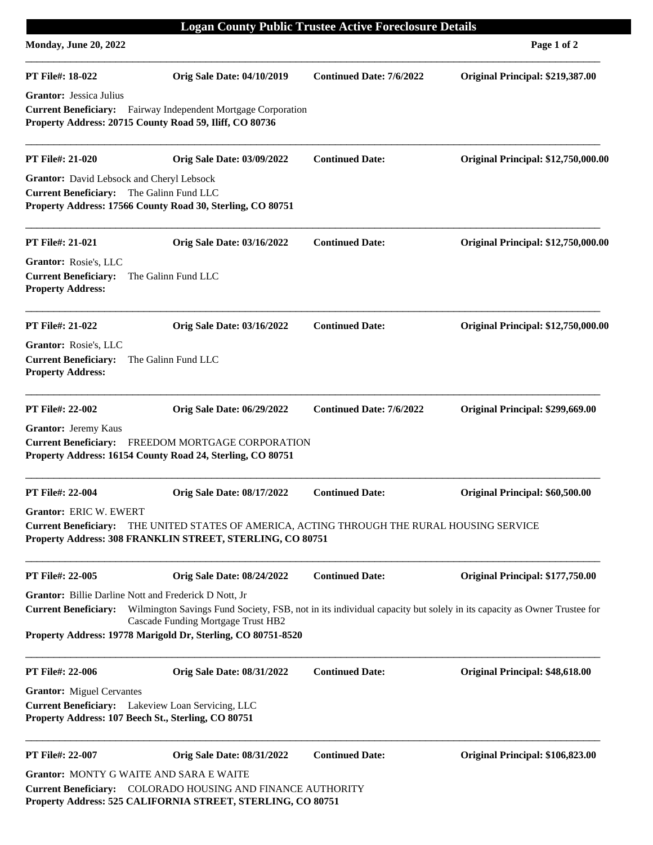| <b>Logan County Public Trustee Active Foreclosure Details</b><br><b>Monday, June 20, 2022</b><br>Page 1 of 2 |                                                                                                                                                                                                                                                                                     |                                 |                                            |  |
|--------------------------------------------------------------------------------------------------------------|-------------------------------------------------------------------------------------------------------------------------------------------------------------------------------------------------------------------------------------------------------------------------------------|---------------------------------|--------------------------------------------|--|
|                                                                                                              |                                                                                                                                                                                                                                                                                     |                                 |                                            |  |
| <b>PT File#: 18-022</b>                                                                                      | <b>Orig Sale Date: 04/10/2019</b>                                                                                                                                                                                                                                                   | <b>Continued Date: 7/6/2022</b> | Original Principal: \$219,387.00           |  |
| <b>Grantor:</b> Jessica Julius                                                                               | Current Beneficiary: Fairway Independent Mortgage Corporation<br>Property Address: 20715 County Road 59, Iliff, CO 80736                                                                                                                                                            |                                 |                                            |  |
| <b>PT File#: 21-020</b>                                                                                      | <b>Orig Sale Date: 03/09/2022</b>                                                                                                                                                                                                                                                   | <b>Continued Date:</b>          | <b>Original Principal: \$12,750,000.00</b> |  |
| Grantor: David Lebsock and Cheryl Lebsock<br>Current Beneficiary: The Galinn Fund LLC                        | Property Address: 17566 County Road 30, Sterling, CO 80751                                                                                                                                                                                                                          |                                 |                                            |  |
| <b>PT File#: 21-021</b>                                                                                      | <b>Orig Sale Date: 03/16/2022</b>                                                                                                                                                                                                                                                   | <b>Continued Date:</b>          | Original Principal: \$12,750,000.00        |  |
| Grantor: Rosie's, LLC<br><b>Current Beneficiary:</b><br><b>Property Address:</b>                             | The Galinn Fund LLC                                                                                                                                                                                                                                                                 |                                 |                                            |  |
| <b>PT File#: 21-022</b>                                                                                      | <b>Orig Sale Date: 03/16/2022</b>                                                                                                                                                                                                                                                   | <b>Continued Date:</b>          | <b>Original Principal: \$12,750,000.00</b> |  |
| Grantor: Rosie's, LLC<br><b>Current Beneficiary:</b><br><b>Property Address:</b>                             | The Galinn Fund LLC                                                                                                                                                                                                                                                                 |                                 |                                            |  |
| PT File#: 22-002                                                                                             | <b>Orig Sale Date: 06/29/2022</b>                                                                                                                                                                                                                                                   | <b>Continued Date: 7/6/2022</b> | Original Principal: \$299,669.00           |  |
| <b>Grantor:</b> Jeremy Kaus                                                                                  | Current Beneficiary: FREEDOM MORTGAGE CORPORATION<br>Property Address: 16154 County Road 24, Sterling, CO 80751                                                                                                                                                                     |                                 |                                            |  |
| <b>PT File#: 22-004</b>                                                                                      | <b>Orig Sale Date: 08/17/2022</b>                                                                                                                                                                                                                                                   | <b>Continued Date:</b>          | Original Principal: \$60,500.00            |  |
| <b>Grantor: ERIC W. EWERT</b>                                                                                | Current Beneficiary: THE UNITED STATES OF AMERICA, ACTING THROUGH THE RURAL HOUSING SERVICE<br>Property Address: 308 FRANKLIN STREET, STERLING, CO 80751                                                                                                                            |                                 |                                            |  |
| PT File#: 22-005                                                                                             | <b>Orig Sale Date: 08/24/2022</b>                                                                                                                                                                                                                                                   | <b>Continued Date:</b>          | Original Principal: \$177,750.00           |  |
| <b>Current Beneficiary:</b>                                                                                  | Grantor: Billie Darline Nott and Frederick D Nott, Jr<br>Wilmington Savings Fund Society, FSB, not in its individual capacity but solely in its capacity as Owner Trustee for<br>Cascade Funding Mortgage Trust HB2<br>Property Address: 19778 Marigold Dr, Sterling, CO 80751-8520 |                                 |                                            |  |
| <b>PT File#: 22-006</b>                                                                                      | <b>Orig Sale Date: 08/31/2022</b>                                                                                                                                                                                                                                                   | <b>Continued Date:</b>          | Original Principal: \$48,618.00            |  |
| <b>Grantor:</b> Miguel Cervantes                                                                             | Current Beneficiary: Lakeview Loan Servicing, LLC<br>Property Address: 107 Beech St., Sterling, CO 80751                                                                                                                                                                            |                                 |                                            |  |
| PT File#: 22-007                                                                                             | <b>Orig Sale Date: 08/31/2022</b>                                                                                                                                                                                                                                                   | <b>Continued Date:</b>          | Original Principal: \$106,823.00           |  |
|                                                                                                              | <b>Grantor: MONTY G WAITE AND SARA E WAITE</b><br>Current Beneficiary: COLORADO HOUSING AND FINANCE AUTHORITY<br>Property Address: 525 CALIFORNIA STREET, STERLING, CO 80751                                                                                                        |                                 |                                            |  |